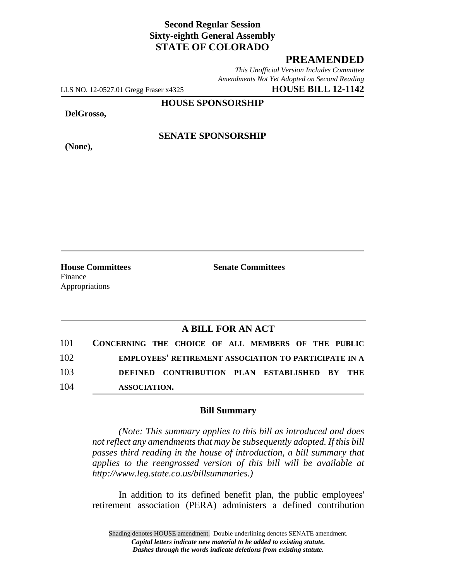## **Second Regular Session Sixty-eighth General Assembly STATE OF COLORADO**

## **PREAMENDED**

*This Unofficial Version Includes Committee Amendments Not Yet Adopted on Second Reading*

LLS NO. 12-0527.01 Gregg Fraser x4325 **HOUSE BILL 12-1142**

**HOUSE SPONSORSHIP**

**DelGrosso,**

**(None),**

**SENATE SPONSORSHIP**

**House Committees Senate Committees** Finance Appropriations

## **A BILL FOR AN ACT**

|     | 101 CONCERNING THE CHOICE OF ALL MEMBERS OF THE PUBLIC       |  |  |  |  |  |
|-----|--------------------------------------------------------------|--|--|--|--|--|
| 102 | <b>EMPLOYEES' RETIREMENT ASSOCIATION TO PARTICIPATE IN A</b> |  |  |  |  |  |
| 103 | DEFINED CONTRIBUTION PLAN ESTABLISHED BY THE                 |  |  |  |  |  |
| 104 | ASSOCIATION.                                                 |  |  |  |  |  |

## **Bill Summary**

*(Note: This summary applies to this bill as introduced and does not reflect any amendments that may be subsequently adopted. If this bill passes third reading in the house of introduction, a bill summary that applies to the reengrossed version of this bill will be available at http://www.leg.state.co.us/billsummaries.)*

In addition to its defined benefit plan, the public employees' retirement association (PERA) administers a defined contribution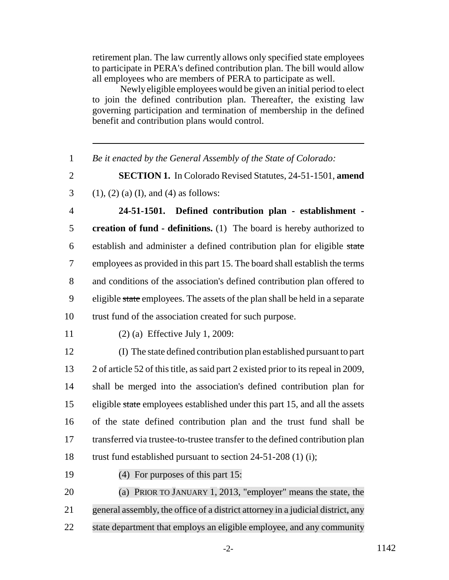retirement plan. The law currently allows only specified state employees to participate in PERA's defined contribution plan. The bill would allow all employees who are members of PERA to participate as well.

 Newly eligible employees would be given an initial period to elect to join the defined contribution plan. Thereafter, the existing law governing participation and termination of membership in the defined benefit and contribution plans would control.

1 *Be it enacted by the General Assembly of the State of Colorado:*

2 **SECTION 1.** In Colorado Revised Statutes, 24-51-1501, **amend**

3 (1), (2) (a) (I), and (4) as follows:

 **24-51-1501. Defined contribution plan - establishment - creation of fund - definitions.** (1) The board is hereby authorized to establish and administer a defined contribution plan for eligible state employees as provided in this part 15. The board shall establish the terms and conditions of the association's defined contribution plan offered to 9 eligible state employees. The assets of the plan shall be held in a separate trust fund of the association created for such purpose.

11 (2) (a) Effective July 1, 2009:

 (I) The state defined contribution plan established pursuant to part 2 of article 52 of this title, as said part 2 existed prior to its repeal in 2009, shall be merged into the association's defined contribution plan for 15 eligible state employees established under this part 15, and all the assets of the state defined contribution plan and the trust fund shall be transferred via trustee-to-trustee transfer to the defined contribution plan 18 trust fund established pursuant to section 24-51-208 (1) (i);

19 (4) For purposes of this part 15:

20 (a) PRIOR TO JANUARY 1, 2013, "employer" means the state, the 21 general assembly, the office of a district attorney in a judicial district, any 22 state department that employs an eligible employee, and any community